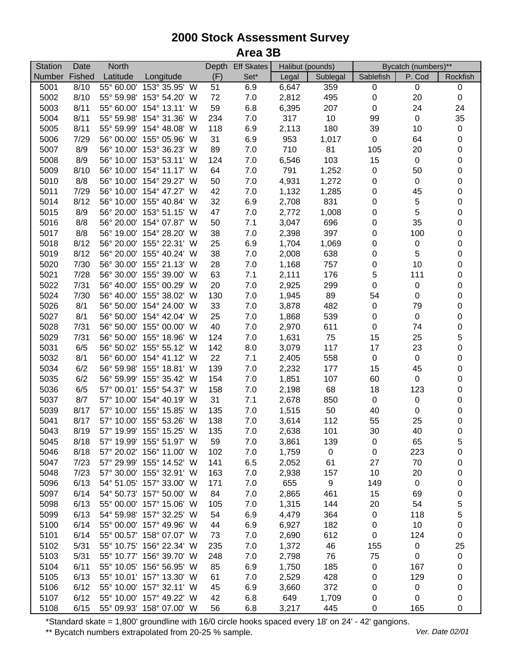| <b>Station</b> | Date   | North      |                                |     | Depth Eff Skates | Halibut (pounds) |                  | Bycatch (numbers)** |                 |           |
|----------------|--------|------------|--------------------------------|-----|------------------|------------------|------------------|---------------------|-----------------|-----------|
| <b>Number</b>  | Fished | Latitude   | Longitude                      | (F) | Set*             | Legal            | Sublegal         | Sablefish           | P. Cod          | Rockfish  |
| 5001           | 8/10   | 55° 60.00' | 153° 35.95' W                  | 51  | 6.9              | 6,647            | 359              | $\boldsymbol{0}$    | 0               | 0         |
| 5002           | 8/10   | 55° 59.98' | 153° 54.20' W                  | 72  | 7.0              | 2,812            | 495              | $\pmb{0}$           | 20              | $\pmb{0}$ |
| 5003           | 8/11   | 55° 60.00' | 154° 13.11' W                  | 59  | 6.8              | 6,395            | 207              | 0                   | 24              | 24        |
| 5004           | 8/11   | 55° 59.98' | 154° 31.36' W                  | 234 | 7.0              | 317              | 10               | 99                  | $\pmb{0}$       | 35        |
| 5005           | 8/11   | 55° 59.99' | 154° 48.08' W                  | 118 | 6.9              | 2,113            | 180              | 39                  | 10              | $\pmb{0}$ |
| 5006           | 7/29   | 56° 00.00' | 155° 05.96' W                  | 31  | 6.9              | 953              | 1,017            | $\boldsymbol{0}$    | 64              | 0         |
| 5007           | 8/9    |            | 56° 10.00' 153° 36.23' W       | 89  | 7.0              | 710              | 81               | 105                 | 20              | 0         |
| 5008           | 8/9    |            | 56° 10.00' 153° 53.11' W       | 124 | 7.0              | 6,546            | 103              | 15                  | $\pmb{0}$       | 0         |
| 5009           | 8/10   |            | 56° 10.00' 154° 11.17' W       | 64  | 7.0              | 791              | 1,252            | $\pmb{0}$           | 50              | 0         |
| 5010           | 8/8    |            | 56° 10.00' 154° 29.27' W       | 50  | 7.0              | 4,931            | 1,272            | $\pmb{0}$           | $\pmb{0}$       | 0         |
| 5011           | 7/29   |            | 56° 10.00' 154° 47.27' W       | 42  | 7.0              | 1,132            | 1,285            | $\mathbf 0$         | 45              | 0         |
| 5014           | 8/12   | 56° 10.00' | 155° 40.84' W                  | 32  | 6.9              | 2,708            | 831              | $\mathbf 0$         | 5               | 0         |
| 5015           | 8/9    | 56° 20.00' | 153° 51.15' W                  | 47  | 7.0              | 2,772            | 1,008            | $\pmb{0}$           | 5               | 0         |
| 5016           | 8/8    | 56° 20.00' | 154° 07.87' W                  | 50  | 7.1              | 3,047            | 696              | $\pmb{0}$           | 35              | 0         |
| 5017           | 8/8    | 56° 19.00' | 154° 28.20' W                  | 38  | 7.0              | 2,398            | 397              | $\pmb{0}$           | 100             | 0         |
| 5018           | 8/12   | 56° 20.00' | 155° 22.31' W                  | 25  | 6.9              | 1,704            | 1,069            | $\pmb{0}$           | $\pmb{0}$       | 0         |
| 5019           | 8/12   | 56° 20.00' | 155° 40.24' W                  | 38  | 7.0              | 2,008            | 638              | $\pmb{0}$           | 5               | 0         |
| 5020           | 7/30   | 56° 30.00' | 155° 21.13' W                  | 28  | 7.0              | 1,168            | 757              | $\pmb{0}$           | 10              | 0         |
| 5021           | 7/28   | 56° 30.00' | 155° 39.00' W                  | 63  | 7.1              | 2,111            | 176              | 5                   | 111             | 0         |
| 5022           | 7/31   | 56° 40.00' | 155° 00.29' W                  | 20  | 7.0              | 2,925            | 299              | $\mathbf 0$         | $\mathsf 0$     | 0         |
| 5024           | 7/30   | 56° 40.00' | 155° 38.02' W                  | 130 | 7.0              | 1,945            | 89               | 54                  | 0               | 0         |
| 5026           | 8/1    | 56° 50.00' | 154° 24.00' W                  | 33  | 7.0              | 3,878            | 482              | $\pmb{0}$           | 79              | 0         |
| 5027           | 8/1    | 56° 50.00' | 154° 42.04' W                  | 25  | 7.0              | 1,868            | 539              | $\mathbf 0$         | $\mathbf 0$     | 0         |
| 5028           | 7/31   | 56° 50.00' | 155° 00.00' W                  | 40  | 7.0              | 2,970            | 611              | $\mathbf 0$         | 74              | 0         |
| 5029           | 7/31   | 56° 50.00' | 155° 18.96' W                  | 124 | 7.0              | 1,631            | 75               | 15                  | 25              | 5         |
| 5031           | 6/5    |            | 56° 50.02' 155° 55.12' W       | 142 | 8.0              | 3,079            | 117              | 17                  | 23              | 0         |
| 5032           | 8/1    |            | 56° 60.00' 154° 41.12' W       | 22  | 7.1              | 2,405            | 558              | 0                   | $\pmb{0}$       | $\pmb{0}$ |
|                | 6/2    | 56° 59.98' | 155° 18.81' W                  | 139 |                  |                  | 177              | 15                  |                 | 0         |
| 5034           | 6/2    | 56° 59.99' | 155° 35.42' W                  | 154 | 7.0              | 2,232            |                  | 60                  | 45<br>$\pmb{0}$ | 0         |
| 5035           |        |            |                                |     | 7.0              | 1,851            | 107              |                     |                 |           |
| 5036           | 6/5    | 57° 00.01' | 155° 54.37' W                  | 158 | 7.0              | 2,198            | 68               | 18                  | 123             | 0         |
| 5037           | 8/7    | 57° 10.00' | 154° 40.19' W<br>155° 15.85' W | 31  | 7.1              | 2,678            | 850              | $\pmb{0}$           | $\pmb{0}$       | 0         |
| 5039           | 8/17   | 57° 10.00' |                                | 135 | 7.0              | 1,515            | 50               | 40                  | $\pmb{0}$       | 0         |
| 5041           | 8/17   | 57° 10.00' | 155° 53.26' W                  | 138 | 7.0              | 3,614            | 112              | 55                  | 25              | 0         |
| 5043           | 8/19   |            | 57° 19.99' 155° 15.25' W       | 135 | 7.0              | 2,638            | 101              | 30                  | 40              | 0         |
| 5045           | 8/18   |            | 57° 19.99' 155° 51.97' W       | 59  | 7.0              | 3,861            | 139              | 0                   | 65              | 5         |
| 5046           | 8/18   |            | 57° 20.02' 156° 11.00' W       | 102 | 7.0              | 1,759            | $\pmb{0}$        | 0                   | 223             | 0         |
| 5047           | 7/23   |            | 57° 29.99' 155° 14.52' W       | 141 | 6.5              | 2,052            | 61               | 27                  | 70              | 0         |
| 5048           | 7/23   |            | 57° 30.00' 155° 32.91' W       | 163 | 7.0              | 2,938            | 157              | 10                  | 20              | 0         |
| 5096           | 6/13   |            | 54° 51.05' 157° 33.00' W       | 171 | 7.0              | 655              | $\boldsymbol{9}$ | 149                 | $\pmb{0}$       | 0         |
| 5097           | 6/14   |            | 54° 50.73' 157° 50.00' W       | 84  | 7.0              | 2,865            | 461              | 15                  | 69              | 0         |
| 5098           | 6/13   |            | 55° 00.00' 157° 15.06' W       | 105 | 7.0              | 1,315            | 144              | 20                  | 54              | 5         |
| 5099           | 6/13   |            | 54° 59.98' 157° 32.25' W       | 54  | 6.9              | 4,479            | 364              | 0                   | 118             | 5         |
| 5100           | 6/14   |            | 55° 00.00' 157° 49.96' W       | 44  | 6.9              | 6,927            | 182              | 0                   | $10$            | 0         |
| 5101           | 6/14   |            | 55° 00.57' 158° 07.07' W       | 73  | 7.0              | 2,690            | 612              | 0                   | 124             | 0         |
| 5102           | 5/31   |            | 55° 10.75' 156° 22.34' W       | 235 | 7.0              | 1,372            | 46               | 155                 | $\pmb{0}$       | 25        |
| 5103           | 5/31   |            | 55° 10.77' 156° 39.70' W       | 248 | 7.0              | 2,798            | 76               | 75                  | $\mathbf 0$     | $\pmb{0}$ |
| 5104           | 6/11   |            | 55° 10.05' 156° 56.95' W       | 85  | 6.9              | 1,750            | 185              | 0                   | 167             | 0         |
| 5105           | 6/13   |            | 55° 10.01' 157° 13.30' W       | 61  | 7.0              | 2,529            | 428              | 0                   | 129             | 0         |
| 5106           | 6/12   |            | 55° 10.00' 157° 32.11' W       | 45  | 6.9              | 3,660            | 372              | 0                   | 0               | 0         |
| 5107           | 6/12   |            | 55° 10.00' 157° 49.22' W       | 42  | 6.8              | 649              | 1,709            | 0                   | 0               | 0         |
| 5108           | 6/15   |            | 55° 09.93' 158° 07.00' W       | 56  | 6.8              | 3,217            | 445              | 0                   | 165             | 0         |

\*Standard skate = 1,800' groundline with 16/0 circle hooks spaced every 18' on 24' - 42' gangions.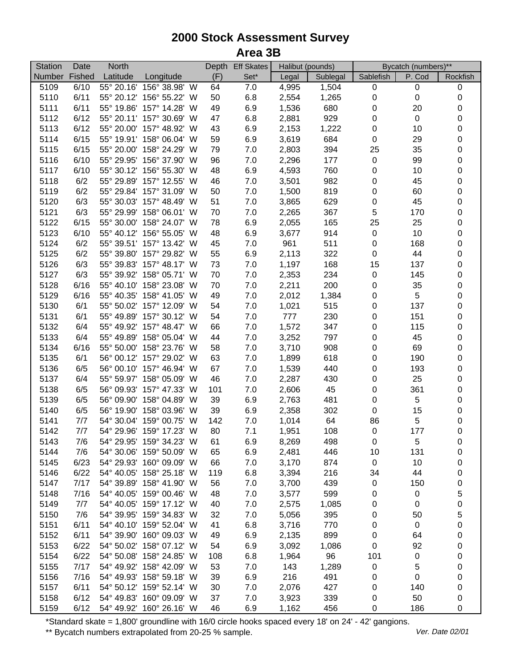| <b>Station</b> | Date   | North      |                          |     | Depth Eff Skates |       | Halibut (pounds) |             | Bycatch (numbers)** |             |
|----------------|--------|------------|--------------------------|-----|------------------|-------|------------------|-------------|---------------------|-------------|
| Number         | Fished | Latitude   | Longitude                | (F) | Set*             | Legal | Sublegal         | Sablefish   | P. Cod              | Rockfish    |
| 5109           | 6/10   |            | 55° 20.16' 156° 38.98' W | 64  | 7.0              | 4,995 | 1,504            | $\pmb{0}$   | $\,0\,$             | $\pmb{0}$   |
| 5110           | 6/11   |            | 55° 20.12' 156° 55.22' W | 50  | 6.8              | 2,554 | 1,265            | $\pmb{0}$   | $\,0\,$             | $\pmb{0}$   |
| 5111           | 6/11   |            | 55° 19.86' 157° 14.28' W | 49  | 6.9              | 1,536 | 680              | $\mathbf 0$ | 20                  | $\,0\,$     |
| 5112           | 6/12   |            | 55° 20.11' 157° 30.69' W | 47  | 6.8              | 2,881 | 929              | $\pmb{0}$   | $\pmb{0}$           | 0           |
| 5113           | 6/12   |            | 55° 20.00' 157° 48.92' W | 43  | 6.9              | 2,153 | 1,222            | $\pmb{0}$   | 10                  | 0           |
| 5114           | 6/15   |            | 55° 19.91' 158° 06.04' W | 59  | 6.9              | 3,619 | 684              | $\pmb{0}$   | 29                  | 0           |
| 5115           | 6/15   |            | 55° 20.00' 158° 24.29' W | 79  | 7.0              | 2,803 | 394              | 25          | 35                  | $\pmb{0}$   |
| 5116           | 6/10   |            | 55° 29.95' 156° 37.90' W | 96  | 7.0              | 2,296 | 177              | $\pmb{0}$   | 99                  | 0           |
| 5117           | 6/10   |            | 55° 30.12' 156° 55.30' W | 48  | 6.9              | 4,593 | 760              | $\pmb{0}$   | 10                  | $\mathbf 0$ |
| 5118           | 6/2    |            | 55° 29.89' 157° 12.55' W | 46  | 7.0              | 3,501 | 982              | $\pmb{0}$   | 45                  | $\mathbf 0$ |
| 5119           | 6/2    |            | 55° 29.84' 157° 31.09' W | 50  | 7.0              | 1,500 | 819              | $\pmb{0}$   | 60                  | $\mathsf 0$ |
| 5120           | 6/3    |            | 55° 30.03' 157° 48.49' W | 51  | 7.0              | 3,865 | 629              | $\pmb{0}$   | 45                  | $\mathbf 0$ |
| 5121           | 6/3    | 55° 29.99' | 158° 06.01' W            | 70  | 7.0              | 2,265 | 367              | 5           | 170                 | 0           |
| 5122           | 6/15   | 55° 30.00' | 158° 24.07' W            | 78  | 6.9              | 2,055 | 165              | 25          | 25                  | 0           |
| 5123           | 6/10   |            | 55° 40.12' 156° 55.05' W | 48  | 6.9              | 3,677 | 914              | $\pmb{0}$   | 10                  | 0           |
| 5124           | 6/2    |            | 55° 39.51' 157° 13.42' W | 45  | 7.0              | 961   | 511              | $\pmb{0}$   | 168                 | $\mathbf 0$ |
| 5125           | 6/2    | 55° 39.80' | 157° 29.82' W            | 55  | 6.9              | 2,113 | 322              | $\pmb{0}$   | 44                  | $\mathbf 0$ |
| 5126           | 6/3    |            | 55° 39.83' 157° 48.17' W | 73  | 7.0              | 1,197 | 168              | 15          | 137                 | 0           |
| 5127           | 6/3    |            | 55° 39.92' 158° 05.71' W | 70  | 7.0              | 2,353 | 234              | $\pmb{0}$   | 145                 | 0           |
| 5128           | 6/16   |            | 55° 40.10' 158° 23.08' W | 70  | 7.0              | 2,211 | 200              | $\pmb{0}$   | 35                  | 0           |
| 5129           | 6/16   |            | 55° 40.35' 158° 41.05' W | 49  | 7.0              | 2,012 | 1,384            | 0           | $\sqrt{5}$          | 0           |
| 5130           | 6/1    |            | 55° 50.02' 157° 12.09' W | 54  | 7.0              | 1,021 | 515              | $\pmb{0}$   | 137                 | 0           |
|                | 6/1    | 55° 49.89' | 157° 30.12' W            | 54  | 7.0              | 777   | 230              |             |                     |             |
| 5131           | 6/4    |            | 55° 49.92' 157° 48.47' W |     |                  |       | 347              | 0           | 151                 | 0           |
| 5132           |        |            |                          | 66  | 7.0              | 1,572 |                  | 0           | 115                 | $\mathbf 0$ |
| 5133           | 6/4    |            | 55° 49.89' 158° 05.04' W | 44  | 7.0              | 3,252 | 797              | $\pmb{0}$   | 45                  | $\mathbf 0$ |
| 5134           | 6/16   |            | 55° 50.00' 158° 23.76' W | 58  | 7.0              | 3,710 | 908              | $\pmb{0}$   | 69                  | $\mathsf 0$ |
| 5135           | 6/1    |            | 56° 00.12' 157° 29.02' W | 63  | 7.0              | 1,899 | 618              | $\pmb{0}$   | 190                 | $\mathsf 0$ |
| 5136           | 6/5    |            | 56° 00.10' 157° 46.94' W | 67  | 7.0              | 1,539 | 440              | $\pmb{0}$   | 193                 | $\mathbf 0$ |
| 5137           | 6/4    | 55° 59.97' | 158° 05.09' W            | 46  | 7.0              | 2,287 | 430              | $\pmb{0}$   | 25                  | $\mathbf 0$ |
| 5138           | 6/5    | 56° 09.93' | 157° 47.33' W            | 101 | 7.0              | 2,606 | 45               | $\pmb{0}$   | 361                 | 0           |
| 5139           | 6/5    | 56° 09.90' | 158° 04.89' W            | 39  | 6.9              | 2,763 | 481              | $\pmb{0}$   | $\,$ 5 $\,$         | $\mathbf 0$ |
| 5140           | 6/5    | 56° 19.90' | 158° 03.96' W            | 39  | 6.9              | 2,358 | 302              | $\pmb{0}$   | 15                  | $\mathbf 0$ |
| 5141           | 7/7    |            | 54° 30.04' 159° 00.75' W | 142 | 7.0              | 1,014 | 64               | 86          | 5                   | 0           |
| 5142           | 7/7    |            | 54° 29.96' 159° 17.23' W | 80  | 7.1              | 1,951 | 108              | $\pmb{0}$   | 177                 | 0           |
| 5143           | 7/6    |            | 54° 29.95' 159° 34.23' W | 61  | 6.9              | 8,269 | 498              | 0           | 5                   | 0           |
| 5144           | 7/6    |            | 54° 30.06' 159° 50.09' W | 65  | 6.9              | 2,481 | 446              | 10          | 131                 | 0           |
| 5145           | 6/23   |            | 54° 29.93' 160° 09.09' W | 66  | 7.0              | 3,170 | 874              | $\mathbf 0$ | 10                  | 0           |
| 5146           | 6/22   |            | 54° 40.05' 158° 25.18' W | 119 | 6.8              | 3,394 | 216              | 34          | 44                  | 0           |
| 5147           | 7/17   |            | 54° 39.89' 158° 41.90' W | 56  | 7.0              | 3,700 | 439              | 0           | 150                 | 0           |
| 5148           | 7/16   |            | 54° 40.05' 159° 00.46' W | 48  | 7.0              | 3,577 | 599              | 0           | $\pmb{0}$           | 5           |
| 5149           | 7/7    |            | 54° 40.05' 159° 17.12' W | 40  | 7.0              | 2,575 | 1,085            | 0           | $\,0\,$             | 0           |
| 5150           | 7/6    |            | 54° 39.95' 159° 34.83' W | 32  | 7.0              | 5,056 | 395              | 0           | 50                  | 5           |
| 5151           | 6/11   |            | 54° 40.10' 159° 52.04' W | 41  | 6.8              | 3,716 | 770              | 0           | $\,0\,$             | 0           |
| 5152           | 6/11   |            | 54° 39.90' 160° 09.03' W | 49  | 6.9              | 2,135 | 899              | $\pmb{0}$   | 64                  | 0           |
| 5153           | 6/22   |            | 54° 50.02' 158° 07.12' W | 54  | 6.9              | 3,092 | 1,086            | $\pmb{0}$   | 92                  | 0           |
| 5154           | 6/22   |            | 54° 50.08' 158° 24.85' W | 108 | 6.8              | 1,964 | 96               | 101         | $\pmb{0}$           | 0           |
| 5155           | 7/17   |            | 54° 49.92' 158° 42.09' W | 53  | 7.0              | 143   | 1,289            | $\pmb{0}$   | 5                   | 0           |
| 5156           | 7/16   |            | 54° 49.93' 158° 59.18' W | 39  | 6.9              | 216   | 491              | 0           | $\pmb{0}$           | 0           |
| 5157           | 6/11   |            | 54° 50.12' 159° 52.14' W | 30  | 7.0              | 2,076 | 427              | 0           | 140                 | 0           |
| 5158           | 6/12   |            | 54° 49.83' 160° 09.09' W | 37  | 7.0              | 3,923 | 339              | 0           | 50                  | 0           |
| 5159           | 6/12   |            | 54° 49.92' 160° 26.16' W | 46  | 6.9              | 1,162 | 456              | 0           | 186                 | 0           |

\*Standard skate = 1,800' groundline with 16/0 circle hooks spaced every 18' on 24' - 42' gangions.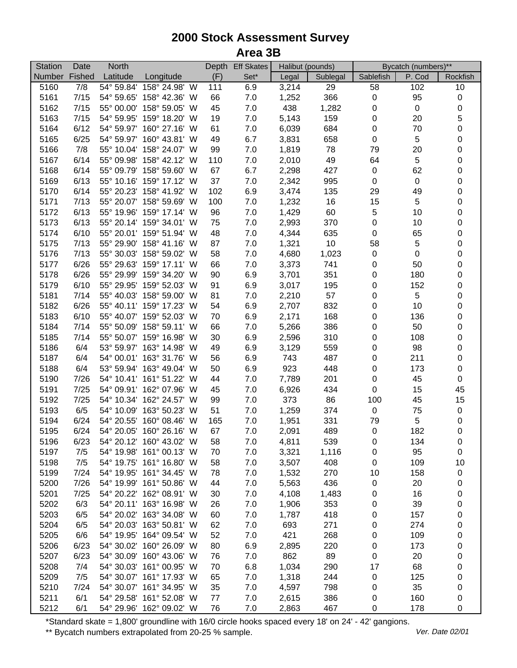| <b>Station</b> | Date   | North      |                          |           | Depth Eff Skates | Halibut (pounds) |              | Bycatch (numbers)** |             |             |
|----------------|--------|------------|--------------------------|-----------|------------------|------------------|--------------|---------------------|-------------|-------------|
| <b>Number</b>  | Fished | Latitude   | Longitude                | (F)       | Set*             | Legal            | Sublegal     | Sablefish           | P. Cod      | Rockfish    |
| 5160           | 7/8    | 54° 59.84' | 158° 24.98' W            | 111       | 6.9              | 3,214            | 29           | 58                  | 102         | 10          |
| 5161           | 7/15   |            | 54° 59.65' 158° 42.36' W | 66        | 7.0              | 1,252            | 366          | $\pmb{0}$           | 95          | $\pmb{0}$   |
| 5162           | 7/15   | 55° 00.00' | 158° 59.05' W            | 45        | 7.0              | 438              | 1,282        | $\pmb{0}$           | $\,0\,$     | 0           |
| 5163           | 7/15   | 54° 59.95' | 159° 18.20' W            | 19        | 7.0              | 5,143            | 159          | $\pmb{0}$           | 20          | 5           |
| 5164           | 6/12   |            | 54° 59.97' 160° 27.16' W | 61        | 7.0              | 6,039            | 684          | $\pmb{0}$           | 70          | 0           |
| 5165           | 6/25   |            | 54° 59.97' 160° 43.81' W | 49        | 6.7              | 3,831            | 658          | $\pmb{0}$           | $\,$ 5 $\,$ | $\mathbf 0$ |
| 5166           | 7/8    |            | 55° 10.04' 158° 24.07' W | 99        | 7.0              | 1,819            | 78           | 79                  | 20          | $\pmb{0}$   |
| 5167           | 6/14   |            | 55° 09.98' 158° 42.12' W | 110       | 7.0              | 2,010            | 49           | 64                  | $\,$ 5 $\,$ | $\mathbf 0$ |
| 5168           | 6/14   |            | 55° 09.79' 158° 59.60' W | 67        | 6.7              | 2,298            | 427          | $\pmb{0}$           | 62          | $\mathbf 0$ |
| 5169           | 6/13   |            | 55° 10.16' 159° 17.12' W | 37        | 7.0              | 2,342            | 995          | $\pmb{0}$           | $\pmb{0}$   | $\mathbf 0$ |
| 5170           | 6/14   |            | 55° 20.23' 158° 41.92' W | 102       | 6.9              | 3,474            | 135          | 29                  | 49          | $\mathbf 0$ |
| 5171           | 7/13   | 55° 20.07' | 158° 59.69' W            | 100       | 7.0              | 1,232            | 16           | 15                  | $\sqrt{5}$  | 0           |
| 5172           | 6/13   | 55° 19.96' | 159° 17.14' W            | 96        | 7.0              | 1,429            | 60           | 5                   | 10          | 0           |
| 5173           | 6/13   |            | 55° 20.14' 159° 34.01' W | 75        | 7.0              | 2,993            | 370          | $\pmb{0}$           | 10          | 0           |
| 5174           | 6/10   |            | 55° 20.01' 159° 51.94' W | 48        | 7.0              | 4,344            | 635          | $\pmb{0}$           | 65          | $\mathbf 0$ |
| 5175           | 7/13   | 55° 29.90' | 158° 41.16' W            | 87        | 7.0              | 1,321            | 10           | 58                  | $\mathbf 5$ | 0           |
| 5176           | 7/13   | 55° 30.03' | 158° 59.02' W            | 58        | 7.0              | 4,680            | 1,023        | $\pmb{0}$           | $\pmb{0}$   | 0           |
| 5177           | 6/26   |            | 55° 29.63' 159° 17.11' W | 66        | 7.0              | 3,373            | 741          | $\pmb{0}$           | 50          | 0           |
| 5178           | 6/26   |            | 55° 29.99' 159° 34.20' W | 90        | 6.9              | 3,701            | 351          | 0                   | 180         | 0           |
| 5179           | 6/10   | 55° 29.95' | 159° 52.03' W            | 91        | 6.9              | 3,017            | 195          | 0                   | 152         | 0           |
| 5181           | 7/14   | 55° 40.03' | 158° 59.00' W            | 81        | 7.0              | 2,210            | 57           | 0                   | $\sqrt{5}$  | 0           |
| 5182           | 6/26   |            | 55° 40.11' 159° 17.23' W | 54        | 6.9              | 2,707            | 832          | 0                   | 10          | 0           |
| 5183           | 6/10   |            | 55° 40.07' 159° 52.03' W | 70        | 6.9              | 2,171            | 168          | 0                   | 136         | 0           |
| 5184           | 7/14   | 55° 50.09' | 158° 59.11' W            | 66        | 7.0              | 5,266            | 386          | 0                   | 50          | 0           |
| 5185           | 7/14   |            | 55° 50.07' 159° 16.98' W | 30        | 6.9              | 2,596            | 310          | $\pmb{0}$           | 108         | $\mathbf 0$ |
| 5186           | 6/4    |            | 53° 59.97' 163° 14.98' W | 49        | 6.9              | 3,129            | 559          | $\pmb{0}$           | 98          | $\mathbf 0$ |
| 5187           | 6/4    |            | 54° 00.01' 163° 31.76' W | 56        | 6.9              | 743              | 487          | $\pmb{0}$           | 211         | $\mathbf 0$ |
| 5188           | 6/4    |            | 53° 59.94' 163° 49.04' W | 50        | 6.9              | 923              | 448          | $\pmb{0}$           | 173         | $\mathsf 0$ |
| 5190           | 7/26   |            | 54° 10.41' 161° 51.22' W | 44        | 7.0              | 7,789            | 201          | $\pmb{0}$           | 45          | $\pmb{0}$   |
| 5191           | 7/25   |            | 54° 09.91' 162° 07.96' W | 45        | 7.0              | 6,926            | 434          | $\mathbf 0$         | 15          | 45          |
| 5192           | 7/25   |            | 54° 10.34' 162° 24.57' W | 99        | 7.0              | 373              | 86           | 100                 | 45          | 15          |
| 5193           | 6/5    | 54° 10.09' | 163° 50.23' W            | 51        | 7.0              |                  | 374          | $\pmb{0}$           |             | $\pmb{0}$   |
| 5194           | 6/24   |            | 54° 20.55' 160° 08.46' W |           |                  | 1,259            |              | 79                  | 75<br>5     | $\mathbf 0$ |
| 5195           | 6/24   |            | 54° 20.05' 160° 26.16' W | 165<br>67 | 7.0              | 1,951            | 331<br>489   | $\pmb{0}$           | 182         | 0           |
|                | 6/23   |            | 54° 20.12' 160° 43.02' W |           | 7.0              | 2,091            | 539          |                     |             |             |
| 5196           | 7/5    |            | 54° 19.98' 161° 00.13' W | 58        | 7.0              | 4,811            |              | 0                   | 134         | 0           |
| 5197           | 7/5    |            | 54° 19.75' 161° 16.80' W | 70        | 7.0<br>7.0       | 3,321            | 1,116<br>408 | 0                   | 95<br>109   | 0           |
| 5198           | 7/24   |            | 54° 19.95' 161° 34.45' W | 58        |                  | 3,507            |              | 0                   |             | 10          |
| 5199           | 7/26   |            | 54° 19.99' 161° 50.86' W | 78        | 7.0              | 1,532            | 270          | 10                  | 158         | 0           |
| 5200           |        |            | 54° 20.22' 162° 08.91' W | 44        | 7.0              | 5,563            | 436          | 0                   | 20          | 0           |
| 5201           | 7/25   |            |                          | 30        | 7.0              | 4,108            | 1,483        | 0                   | 16          | 0           |
| 5202           | 6/3    |            | 54° 20.11' 163° 16.98' W | 26        | 7.0              | 1,906            | 353          | 0                   | 39          | 0           |
| 5203           | 6/5    |            | 54° 20.02' 163° 34.08' W | 60        | 7.0              | 1,787            | 418          | 0                   | 157         | 0           |
| 5204           | 6/5    |            | 54° 20.03' 163° 50.81' W | 62        | 7.0              | 693              | 271          | 0                   | 274         | 0           |
| 5205           | 6/6    |            | 54° 19.95' 164° 09.54' W | 52        | 7.0              | 421              | 268          | 0                   | 109         | 0           |
| 5206           | 6/23   |            | 54° 30.02' 160° 26.09' W | 80        | 6.9              | 2,895            | 220          | 0                   | 173         | 0           |
| 5207           | 6/23   |            | 54° 30.09' 160° 43.06' W | 76        | 7.0              | 862              | 89           | $\mathbf 0$         | 20          | 0           |
| 5208           | 7/4    |            | 54° 30.03' 161° 00.95' W | 70        | 6.8              | 1,034            | 290          | 17                  | 68          | 0           |
| 5209           | 7/5    |            | 54° 30.07' 161° 17.93' W | 65        | 7.0              | 1,318            | 244          | 0                   | 125         | 0           |
| 5210           | 7/24   |            | 54° 30.07' 161° 34.95' W | 35        | 7.0              | 4,597            | 798          | 0                   | 35          | 0           |
| 5211           | 6/1    |            | 54° 29.58' 161° 52.08' W | 77        | 7.0              | 2,615            | 386          | 0                   | 160         | 0           |
| 5212           | 6/1    |            | 54° 29.96' 162° 09.02' W | 76        | 7.0              | 2,863            | 467          | 0                   | 178         | 0           |

\*Standard skate = 1,800' groundline with 16/0 circle hooks spaced every 18' on 24' - 42' gangions.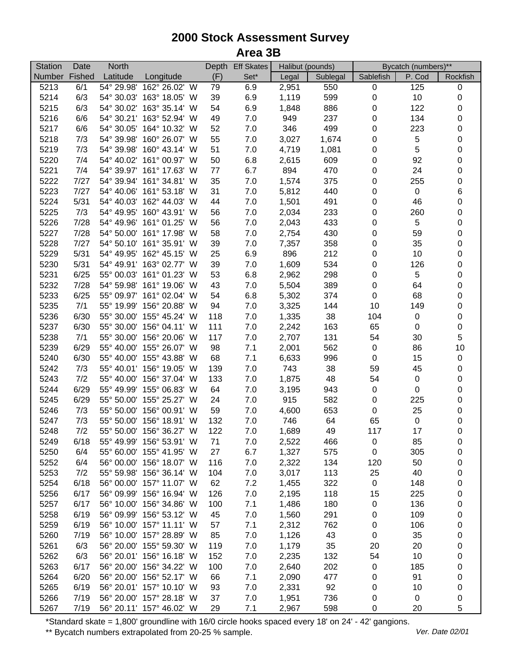| <b>Station</b> | Date   | North      |                          |            | Depth Eff Skates | Halibut (pounds) |            | Bycatch (numbers)** |             |                |
|----------------|--------|------------|--------------------------|------------|------------------|------------------|------------|---------------------|-------------|----------------|
| <b>Number</b>  | Fished | Latitude   | Longitude                | (F)        | Set*             | Legal            | Sublegal   | Sablefish           | P. Cod      | Rockfish       |
| 5213           | 6/1    | 54° 29.98' | 162° 26.02' W            | 79         | 6.9              | 2,951            | 550        | $\pmb{0}$           | 125         | $\,0\,$        |
| 5214           | 6/3    |            | 54° 30.03' 163° 18.05' W | 39         | 6.9              | 1,119            | 599        | $\pmb{0}$           | 10          | $\pmb{0}$      |
| 5215           | 6/3    |            | 54° 30.02' 163° 35.14' W | 54         | 6.9              | 1,848            | 886        | $\pmb{0}$           | 122         | 0              |
| 5216           | 6/6    |            | 54° 30.21' 163° 52.94' W | 49         | 7.0              | 949              | 237        | 0                   | 134         | 0              |
| 5217           | 6/6    | 54° 30.05' | 164° 10.32' W            | 52         | 7.0              | 346              | 499        | $\pmb{0}$           | 223         | 0              |
| 5218           | 7/3    | 54° 39.98' | 160° 26.07' W            | 55         | 7.0              | 3,027            | 1,674      | $\pmb{0}$           | $\,$ 5 $\,$ | $\pmb{0}$      |
| 5219           | 7/3    |            | 54° 39.98' 160° 43.14' W | 51         | 7.0              | 4,719            | 1,081      | $\pmb{0}$           | $\sqrt{5}$  | $\mathbf 0$    |
| 5220           | 7/4    |            | 54° 40.02' 161° 00.97' W | 50         | 6.8              | 2,615            | 609        | $\pmb{0}$           | 92          | $\mathbf 0$    |
| 5221           | 7/4    |            | 54° 39.97' 161° 17.63' W | $77 \,$    | 6.7              | 894              | 470        | $\pmb{0}$           | 24          | 0              |
| 5222           | 7/27   |            | 54° 39.94' 161° 34.81' W | 35         | 7.0              | 1,574            | 375        | $\pmb{0}$           | 255         | 0              |
| 5223           | 7/27   |            | 54° 40.06' 161° 53.18' W | 31         | 7.0              | 5,812            | 440        | $\pmb{0}$           | $\pmb{0}$   | $\,6\,$        |
| 5224           | 5/31   | 54° 40.03' | 162° 44.03' W            | 44         | 7.0              | 1,501            | 491        | $\pmb{0}$           | 46          | 0              |
| 5225           | 7/3    | 54° 49.95' | 160° 43.91' W            | 56         | 7.0              | 2,034            | 233        | $\pmb{0}$           | 260         | 0              |
| 5226           | 7/28   | 54° 49.96' | 161° 01.25' W            | 56         | 7.0              | 2,043            | 433        | $\pmb{0}$           | $\,$ 5 $\,$ | 0              |
| 5227           | 7/28   | 54° 50.00' | 161° 17.98' W            | 58         | 7.0              | 2,754            | 430        | $\pmb{0}$           | 59          | $\mathbf 0$    |
| 5228           | 7/27   | 54° 50.10' | 161° 35.91' W            | 39         | 7.0              | 7,357            | 358        | 0                   | 35          | 0              |
| 5229           | 5/31   | 54° 49.95' | 162° 45.15' W            | 25         | 6.9              | 896              | 212        | $\pmb{0}$           | 10          | 0              |
| 5230           | 5/31   |            | 54° 49.91' 163° 02.77' W | 39         | 7.0              | 1,609            | 534        | 0                   | 126         | 0              |
| 5231           | 6/25   |            | 55° 00.03' 161° 01.23' W | 53         | 6.8              | 2,962            | 298        | 0                   | $\sqrt{5}$  | 0              |
| 5232           | 7/28   |            | 54° 59.98' 161° 19.06' W | 43         | 7.0              | 5,504            | 389        | 0                   | 64          | 0              |
| 5233           | 6/25   | 55° 09.97' | 161° 02.04' W            | 54         | 6.8              | 5,302            | 374        | $\pmb{0}$           | 68          | 0              |
| 5235           | 7/1    | 55° 19.99' | 156° 20.88' W            | 94         | 7.0              | 3,325            | 144        | 10                  | 149         | 0              |
| 5236           | 6/30   |            | 55° 30.00' 155° 45.24' W | 118        | 7.0              | 1,335            | 38         | 104                 | $\pmb{0}$   | $\mathbf 0$    |
| 5237           | 6/30   |            | 55° 30.00' 156° 04.11' W | 111        | 7.0              | 2,242            | 163        | 65                  | $\pmb{0}$   | $\mathbf 0$    |
| 5238           | 7/1    |            | 55° 30.00' 156° 20.06' W | 117        | 7.0              | 2,707            | 131        | 54                  | 30          | $\overline{5}$ |
| 5239           | 6/29   |            | 55° 40.00' 155° 26.07' W | 98         | 7.1              | 2,001            | 562        | $\pmb{0}$           | 86          | 10             |
| 5240           | 6/30   |            | 55° 40.00' 155° 43.88' W | 68         | 7.1              | 6,633            | 996        | $\pmb{0}$           | 15          | $\pmb{0}$      |
| 5242           | 7/3    | 55° 40.01' | 156° 19.05' W            | 139        | 7.0              | 743              | 38         | 59                  | 45          | 0              |
| 5243           | 7/2    | 55° 40.00' | 156° 37.04' W            | 133        | 7.0              | 1,875            | 48         | 54                  | $\,0\,$     | 0              |
| 5244           | 6/29   | 55° 49.99' | 155° 06.83' W            | 64         | 7.0              | 3,195            | 943        | $\pmb{0}$           | $\mathbf 0$ | 0              |
| 5245           | 6/29   | 55° 50.00' | 155° 25.27' W            | 24         | 7.0              | 915              | 582        | $\pmb{0}$           | 225         | $\mathbf 0$    |
| 5246           | 7/3    | 55° 50.00' | 156° 00.91' W            | 59         | 7.0              |                  | 653        | $\pmb{0}$           | 25          | 0              |
| 5247           | 7/3    | 55° 50.00' | 156° 18.91' W            |            |                  | 4,600<br>746     | 64         |                     | $\,0\,$     | $\mathbf 0$    |
| 5248           | 7/2    |            | 55° 50.00' 156° 36.27' W | 132<br>122 | 7.0<br>7.0       | 1,689            | 49         | 65<br>117           | 17          | 0              |
| 5249           | 6/18   |            | 55° 49.99' 156° 53.91' W |            |                  | 2,522            |            |                     |             |                |
|                | 6/4    |            | 55° 60.00' 155° 41.95' W | 71         | 7.0              |                  | 466        | 0                   | 85          | 0              |
| 5250<br>5252   | 6/4    |            | 56° 00.00' 156° 18.07' W | 27<br>116  | 6.7<br>7.0       | 1,327            | 575<br>134 | 0                   | 305<br>50   | 0              |
|                | 7/2    |            | 55° 59.98' 156° 36.14' W | 104        |                  | 2,322            |            | 120                 | 40          | 0              |
| 5253           |        |            | 56° 00.00' 157° 11.07' W |            | 7.0              | 3,017            | 113        | 25                  |             | 0              |
| 5254           | 6/18   |            |                          | 62         | 7.2              | 1,455            | 322        | $\pmb{0}$           | 148         | 0              |
| 5256           | 6/17   |            | 56° 09.99' 156° 16.94' W | 126        | 7.0              | 2,195            | 118        | 15                  | 225         | 0              |
| 5257           | 6/17   |            | 56° 10.00' 156° 34.86' W | 100        | 7.1              | 1,486            | 180        | 0                   | 136         | 0              |
| 5258           | 6/19   |            | 56° 09.99' 156° 53.12' W | 45         | 7.0              | 1,560            | 291        | 0                   | 109         | 0              |
| 5259           | 6/19   |            | 56° 10.00' 157° 11.11' W | 57         | 7.1              | 2,312            | 762        | 0                   | 106         | 0              |
| 5260           | 7/19   |            | 56° 10.00' 157° 28.89' W | 85         | 7.0              | 1,126            | 43         | $\pmb{0}$           | 35          | 0              |
| 5261           | 6/3    |            | 56° 20.00' 155° 59.30' W | 119        | 7.0              | 1,179            | 35         | 20                  | 20          | 0              |
| 5262           | 6/3    |            | 56° 20.01' 156° 16.18' W | 152        | 7.0              | 2,235            | 132        | 54                  | 10          | 0              |
| 5263           | 6/17   |            | 56° 20.00' 156° 34.22' W | 100        | 7.0              | 2,640            | 202        | 0                   | 185         | 0              |
| 5264           | 6/20   |            | 56° 20.00' 156° 52.17' W | 66         | 7.1              | 2,090            | 477        | 0                   | 91          | 0              |
| 5265           | 6/19   |            | 56° 20.01' 157° 10.10' W | 93         | 7.0              | 2,331            | 92         | 0                   | 10          | 0              |
| 5266           | 7/19   |            | 56° 20.00' 157° 28.18' W | 37         | 7.0              | 1,951            | 736        | 0                   | 0           | 0              |
| 5267           | 7/19   |            | 56° 20.11' 157° 46.02' W | 29         | 7.1              | 2,967            | 598        | 0                   | 20          | 5              |

\*Standard skate = 1,800' groundline with 16/0 circle hooks spaced every 18' on 24' - 42' gangions.